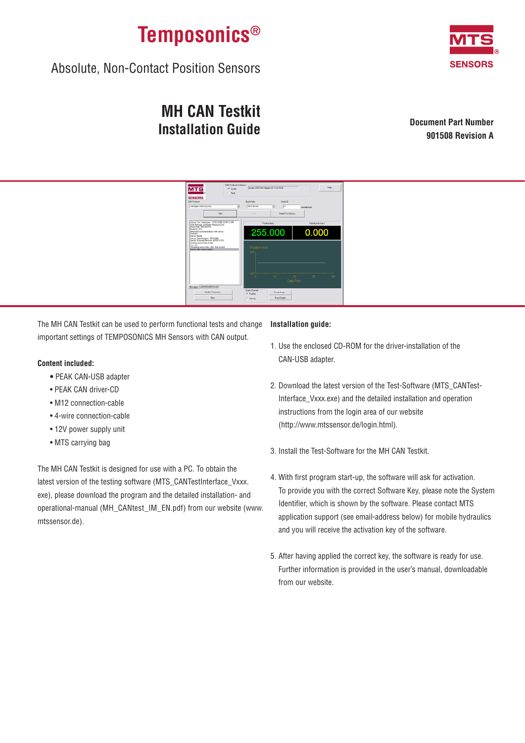

Absolute, Non-Contact Position Sensors

# **MH CAN Testkit Installation Guide**

**Document Part Number 901508 Revision A**



The MH CAN Testkit can be used to perform functional tests and change important settings of TEMPOSONICS MH Sensors with CAN output.

## **Content included:**

- PEAK CAN-USB adapter
- PEAK CAN driver-CD
- M12 connection-cable
- 4-wire connection-cable
- 12V power supply unit
- MTS carrying bag

The MH CAN Testkit is designed for use with a PC. To obtain the latest version of the testing software (MTS\_CANTestInterface\_Vxxx. exe), please download the program and the detailed installation- and operational-manual (MH\_CANtest\_IM\_EN.pdf) from our website (www. mtssensor.de).

## **Installation guide:**

- 1. Use the enclosed CD-ROM for the driver-installation of the CAN-USB adapter.
- 2. Download the latest version of the Test-Software (MTS\_CANTest-Interface\_Vxxx.exe) and the detailed installation and operation instructions from the login area of our website (http://www.mtssensor.de/login.html).
- 3. Install the Test-Software for the MH CAN Testkit.
- 4. With first program start-up, the software will ask for activation. To provide you with the correct Software Key, please note the System Identifier, which is shown by the software. Please contact MTS application support (see email-address below) for mobile hydraulics and you will receive the activation key of the software.
- 5. After having applied the correct key, the software is ready for use. Further information is provided in the user's manual, downloadable from our website.